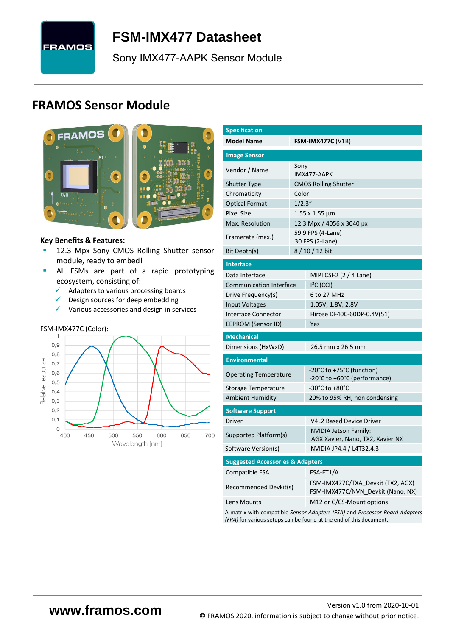

# **FSM-IMX477 [Datasheet](#page-0-0)**

<span id="page-0-3"></span><span id="page-0-0"></span>[Sony](#page-0-1) [IMX477-AAPK](#page-0-2) Sensor Module

# **FRAMOS Sensor Module**



#### **Key Benefits & Features:**

- **[12.3](#page-0-4) Mpx [Sony](#page-0-1) [CMOS Rolling Shutter](#page-0-5) sensor** module, ready to embed!
- **E** All FSMs are part of a rapid prototyping ecosystem, consisting of:
	- ✓ Adapters to various processing boards
	- ✓ Design sources for deep embedding
	- ✓ Various accessories and design in services

# FSM-IMX477C (Color):



<span id="page-0-6"></span><span id="page-0-5"></span><span id="page-0-4"></span><span id="page-0-2"></span><span id="page-0-1"></span>

| <b>Model Name</b><br><b>FSM-IMX477C (V1B)</b><br><b>Image Sensor</b><br>Sony<br>Vendor / Name<br>IMX477-AAPK<br><b>Shutter Type</b><br><b>CMOS Rolling Shutter</b><br>Color<br>Chromaticity<br>1/2.3''<br><b>Optical Format</b><br><b>Pixel Size</b><br>1.55 x 1.55 μm<br>Max. Resolution<br>12.3 Mpx / 4056 x 3040 px<br>59.9 FPS (4-Lane)<br>Framerate (max.)<br>30 FPS (2-Lane)<br>Bit Depth(s)<br>8/10/12 bit<br><b>Interface</b><br>Data Interface<br>MIPI CSI-2 (2 / 4 Lane)<br><b>Communication Interface</b><br>$I2C$ (CCI)<br>6 to 27 MHz<br>Drive Frequency(s)<br><b>Input Voltages</b><br>1.05V, 1.8V, 2.8V<br><b>Interface Connector</b><br>Hirose DF40C-60DP-0.4V(51)<br>EEPROM (Sensor ID)<br>Yes<br><b>Mechanical</b><br>Dimensions (HxWxD)<br>26.5 mm x 26.5 mm<br><b>Environmental</b><br>-20°C to +75°C (function)<br><b>Operating Temperature</b><br>-20°C to +60°C (performance)<br>$-30^{\circ}$ C to $+80^{\circ}$ C<br>Storage Temperature<br><b>Ambient Humidity</b><br>20% to 95% RH, non condensing<br><b>Software Support</b><br><b>Driver</b><br>V4L2 Based Device Driver<br><b>NVIDIA Jetson Family:</b><br>Supported Platform(s)<br>AGX Xavier, Nano, TX2, Xavier NX<br>NVIDIA JP4.4 / L4T32.4.3<br>Software Version(s)<br><b>Suggested Accessories &amp; Adapters</b> | <b>Specification</b> |           |  |  |  |  |  |
|------------------------------------------------------------------------------------------------------------------------------------------------------------------------------------------------------------------------------------------------------------------------------------------------------------------------------------------------------------------------------------------------------------------------------------------------------------------------------------------------------------------------------------------------------------------------------------------------------------------------------------------------------------------------------------------------------------------------------------------------------------------------------------------------------------------------------------------------------------------------------------------------------------------------------------------------------------------------------------------------------------------------------------------------------------------------------------------------------------------------------------------------------------------------------------------------------------------------------------------------------------------------------------------------------|----------------------|-----------|--|--|--|--|--|
|                                                                                                                                                                                                                                                                                                                                                                                                                                                                                                                                                                                                                                                                                                                                                                                                                                                                                                                                                                                                                                                                                                                                                                                                                                                                                                      |                      |           |  |  |  |  |  |
|                                                                                                                                                                                                                                                                                                                                                                                                                                                                                                                                                                                                                                                                                                                                                                                                                                                                                                                                                                                                                                                                                                                                                                                                                                                                                                      |                      |           |  |  |  |  |  |
|                                                                                                                                                                                                                                                                                                                                                                                                                                                                                                                                                                                                                                                                                                                                                                                                                                                                                                                                                                                                                                                                                                                                                                                                                                                                                                      |                      |           |  |  |  |  |  |
|                                                                                                                                                                                                                                                                                                                                                                                                                                                                                                                                                                                                                                                                                                                                                                                                                                                                                                                                                                                                                                                                                                                                                                                                                                                                                                      |                      |           |  |  |  |  |  |
|                                                                                                                                                                                                                                                                                                                                                                                                                                                                                                                                                                                                                                                                                                                                                                                                                                                                                                                                                                                                                                                                                                                                                                                                                                                                                                      |                      |           |  |  |  |  |  |
|                                                                                                                                                                                                                                                                                                                                                                                                                                                                                                                                                                                                                                                                                                                                                                                                                                                                                                                                                                                                                                                                                                                                                                                                                                                                                                      |                      |           |  |  |  |  |  |
|                                                                                                                                                                                                                                                                                                                                                                                                                                                                                                                                                                                                                                                                                                                                                                                                                                                                                                                                                                                                                                                                                                                                                                                                                                                                                                      |                      |           |  |  |  |  |  |
|                                                                                                                                                                                                                                                                                                                                                                                                                                                                                                                                                                                                                                                                                                                                                                                                                                                                                                                                                                                                                                                                                                                                                                                                                                                                                                      |                      |           |  |  |  |  |  |
|                                                                                                                                                                                                                                                                                                                                                                                                                                                                                                                                                                                                                                                                                                                                                                                                                                                                                                                                                                                                                                                                                                                                                                                                                                                                                                      |                      |           |  |  |  |  |  |
|                                                                                                                                                                                                                                                                                                                                                                                                                                                                                                                                                                                                                                                                                                                                                                                                                                                                                                                                                                                                                                                                                                                                                                                                                                                                                                      |                      |           |  |  |  |  |  |
|                                                                                                                                                                                                                                                                                                                                                                                                                                                                                                                                                                                                                                                                                                                                                                                                                                                                                                                                                                                                                                                                                                                                                                                                                                                                                                      |                      |           |  |  |  |  |  |
|                                                                                                                                                                                                                                                                                                                                                                                                                                                                                                                                                                                                                                                                                                                                                                                                                                                                                                                                                                                                                                                                                                                                                                                                                                                                                                      |                      |           |  |  |  |  |  |
|                                                                                                                                                                                                                                                                                                                                                                                                                                                                                                                                                                                                                                                                                                                                                                                                                                                                                                                                                                                                                                                                                                                                                                                                                                                                                                      |                      |           |  |  |  |  |  |
|                                                                                                                                                                                                                                                                                                                                                                                                                                                                                                                                                                                                                                                                                                                                                                                                                                                                                                                                                                                                                                                                                                                                                                                                                                                                                                      |                      |           |  |  |  |  |  |
|                                                                                                                                                                                                                                                                                                                                                                                                                                                                                                                                                                                                                                                                                                                                                                                                                                                                                                                                                                                                                                                                                                                                                                                                                                                                                                      |                      |           |  |  |  |  |  |
|                                                                                                                                                                                                                                                                                                                                                                                                                                                                                                                                                                                                                                                                                                                                                                                                                                                                                                                                                                                                                                                                                                                                                                                                                                                                                                      |                      |           |  |  |  |  |  |
|                                                                                                                                                                                                                                                                                                                                                                                                                                                                                                                                                                                                                                                                                                                                                                                                                                                                                                                                                                                                                                                                                                                                                                                                                                                                                                      |                      |           |  |  |  |  |  |
|                                                                                                                                                                                                                                                                                                                                                                                                                                                                                                                                                                                                                                                                                                                                                                                                                                                                                                                                                                                                                                                                                                                                                                                                                                                                                                      |                      |           |  |  |  |  |  |
|                                                                                                                                                                                                                                                                                                                                                                                                                                                                                                                                                                                                                                                                                                                                                                                                                                                                                                                                                                                                                                                                                                                                                                                                                                                                                                      |                      |           |  |  |  |  |  |
|                                                                                                                                                                                                                                                                                                                                                                                                                                                                                                                                                                                                                                                                                                                                                                                                                                                                                                                                                                                                                                                                                                                                                                                                                                                                                                      |                      |           |  |  |  |  |  |
|                                                                                                                                                                                                                                                                                                                                                                                                                                                                                                                                                                                                                                                                                                                                                                                                                                                                                                                                                                                                                                                                                                                                                                                                                                                                                                      |                      |           |  |  |  |  |  |
|                                                                                                                                                                                                                                                                                                                                                                                                                                                                                                                                                                                                                                                                                                                                                                                                                                                                                                                                                                                                                                                                                                                                                                                                                                                                                                      |                      |           |  |  |  |  |  |
|                                                                                                                                                                                                                                                                                                                                                                                                                                                                                                                                                                                                                                                                                                                                                                                                                                                                                                                                                                                                                                                                                                                                                                                                                                                                                                      |                      |           |  |  |  |  |  |
|                                                                                                                                                                                                                                                                                                                                                                                                                                                                                                                                                                                                                                                                                                                                                                                                                                                                                                                                                                                                                                                                                                                                                                                                                                                                                                      |                      |           |  |  |  |  |  |
|                                                                                                                                                                                                                                                                                                                                                                                                                                                                                                                                                                                                                                                                                                                                                                                                                                                                                                                                                                                                                                                                                                                                                                                                                                                                                                      |                      |           |  |  |  |  |  |
|                                                                                                                                                                                                                                                                                                                                                                                                                                                                                                                                                                                                                                                                                                                                                                                                                                                                                                                                                                                                                                                                                                                                                                                                                                                                                                      |                      |           |  |  |  |  |  |
|                                                                                                                                                                                                                                                                                                                                                                                                                                                                                                                                                                                                                                                                                                                                                                                                                                                                                                                                                                                                                                                                                                                                                                                                                                                                                                      |                      |           |  |  |  |  |  |
|                                                                                                                                                                                                                                                                                                                                                                                                                                                                                                                                                                                                                                                                                                                                                                                                                                                                                                                                                                                                                                                                                                                                                                                                                                                                                                      |                      |           |  |  |  |  |  |
|                                                                                                                                                                                                                                                                                                                                                                                                                                                                                                                                                                                                                                                                                                                                                                                                                                                                                                                                                                                                                                                                                                                                                                                                                                                                                                      |                      |           |  |  |  |  |  |
|                                                                                                                                                                                                                                                                                                                                                                                                                                                                                                                                                                                                                                                                                                                                                                                                                                                                                                                                                                                                                                                                                                                                                                                                                                                                                                      |                      |           |  |  |  |  |  |
|                                                                                                                                                                                                                                                                                                                                                                                                                                                                                                                                                                                                                                                                                                                                                                                                                                                                                                                                                                                                                                                                                                                                                                                                                                                                                                      | Compatible FSA       | FSA-FT1/A |  |  |  |  |  |
| FSM-IMX477C/TXA Devkit (TX2, AGX)<br>Recommended Devkit(s)<br>FSM-IMX477C/NVN Devkit (Nano, NX)                                                                                                                                                                                                                                                                                                                                                                                                                                                                                                                                                                                                                                                                                                                                                                                                                                                                                                                                                                                                                                                                                                                                                                                                      |                      |           |  |  |  |  |  |
| M12 or C/CS-Mount options<br>Lens Mounts                                                                                                                                                                                                                                                                                                                                                                                                                                                                                                                                                                                                                                                                                                                                                                                                                                                                                                                                                                                                                                                                                                                                                                                                                                                             |                      |           |  |  |  |  |  |

A matrix with compatible *Sensor Adapters (FSA)* and *Processor Board Adapters (FPA)* for various setups can be found at the end of this document.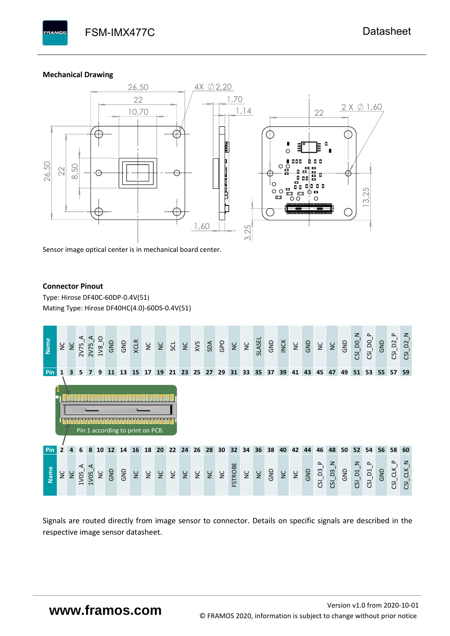#### **Mechanical Drawing**

**PAMOS** 



Sensor image optical center is in mechanical board center.

#### **Connector Pinout**

Type: [Hirose DF40C-60DP-0.4V\(51](#page-0-6)[\)](#page-0-6)  Mating Type: Hirose DF40HC(4.0)-60DS-0.4V(51)



Signals are routed directly from image sensor to connector. Details on specific signals are described in the respective image sensor datasheet.

# **www.framos.com**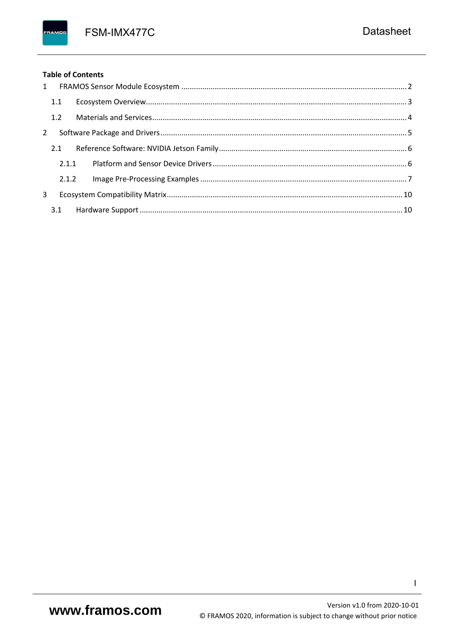FSM-IMX477C

FRAMOS

|             |     | <b>Table of Contents</b> |
|-------------|-----|--------------------------|
|             |     |                          |
|             | 1.1 |                          |
|             |     |                          |
| $2^{\circ}$ |     |                          |
|             |     |                          |
|             |     | 2.1.1                    |
|             |     | 2.1.2                    |
| 3           |     |                          |
|             |     |                          |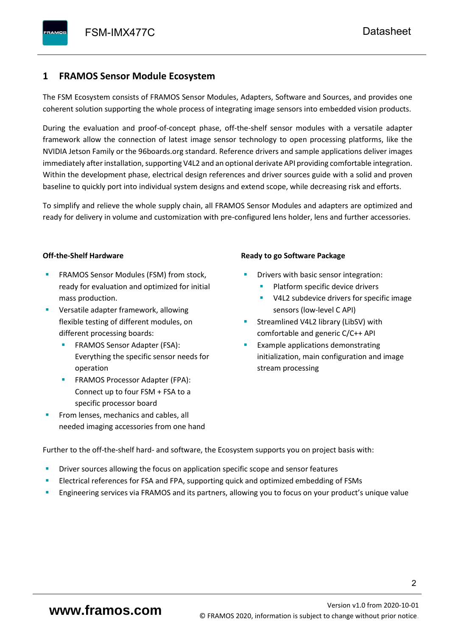## <span id="page-3-0"></span>**1 FRAMOS Sensor Module Ecosystem**

The FSM Ecosystem consists of FRAMOS Sensor Modules, Adapters, Software and Sources, and provides one coherent solution supporting the whole process of integrating image sensors into embedded vision products.

During the evaluation and proof-of-concept phase, off-the-shelf sensor modules with a versatile adapter framework allow the connection of latest image sensor technology to open processing platforms, like the NVIDIA Jetson Family or the 96boards.org standard. Reference drivers and sample applications deliver images immediately after installation, supporting V4L2 and an optional derivate API providing comfortable integration. Within the development phase, electrical design references and driver sources guide with a solid and proven baseline to quickly port into individual system designs and extend scope, while decreasing risk and efforts.

To simplify and relieve the whole supply chain, all FRAMOS Sensor Modules and adapters are optimized and ready for delivery in volume and customization with pre-configured lens holder, lens and further accessories.

#### **Off-the-Shelf Hardware**

- FRAMOS Sensor Modules (FSM) from stock, ready for evaluation and optimized for initial mass production.
- Versatile adapter framework, allowing flexible testing of different modules, on different processing boards:
	- FRAMOS Sensor Adapter (FSA): Everything the specific sensor needs for operation
	- FRAMOS Processor Adapter (FPA): Connect up to four FSM + FSA to a specific processor board
- From lenses, mechanics and cables, all needed imaging accessories from one hand

#### **Ready to go Software Package**

- Drivers with basic sensor integration:
	- Platform specific device drivers
	- V4L2 subdevice drivers for specific image sensors (low-level C API)
- Streamlined V4L2 library (LibSV) with comfortable and generic C/C++ API
- Example applications demonstrating initialization, main configuration and image stream processing

Further to the off-the-shelf hard- and software, the Ecosystem supports you on project basis with:

- Driver sources allowing the focus on application specific scope and sensor features
- Electrical references for FSA and FPA, supporting quick and optimized embedding of FSMs
- Engineering services via FRAMOS and its partners, allowing you to focus on your product's unique value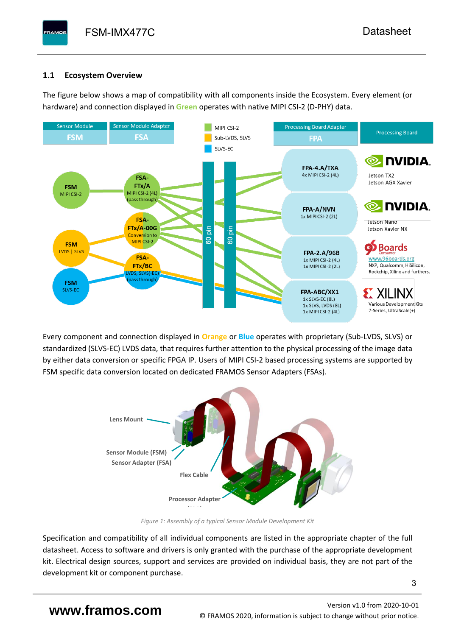## <span id="page-4-0"></span>**1.1 Ecosystem Overview**

**PAMOS** 

The figure below shows a map of compatibility with all components inside the Ecosystem. Every element (or hardware) and connection displayed in **Green** operates with native MIPI CSI-2 (D-PHY) data.



Every component and connection displayed in **Orange** or **Blue** operates with proprietary (Sub-LVDS, SLVS) or standardized (SLVS-EC) LVDS data, that requires further attention to the physical processing of the image data by either data conversion or specific FPGA IP. Users of MIPI CSI-2 based processing systems are supported by FSM specific data conversion located on dedicated FRAMOS Sensor Adapters (FSAs).



*Figure 1: Assembly of a typical Sensor Module Development Kit*

Specification and compatibility of all individual components are listed in the appropriate chapter of the full datasheet. Access to software and drivers is only granted with the purchase of the appropriate development kit. Electrical design sources, support and services are provided on individual basis, they are not part of the development kit or component purchase.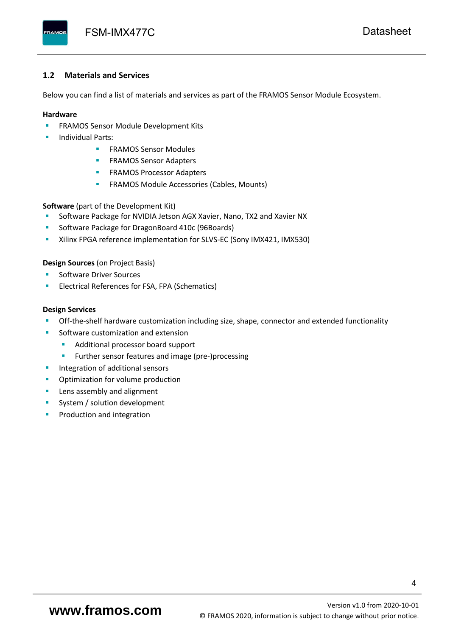### <span id="page-5-0"></span>**1.2 Materials and Services**

Below you can find a list of materials and services as part of the FRAMOS Sensor Module Ecosystem.

#### **Hardware**

- **EXECTED FRAMOS Sensor Module Development Kits**
- **Individual Parts:** 
	- FRAMOS Sensor Modules
	- **FRAMOS Sensor Adapters**
	- **EXAMOS Processor Adapters**
	- **EXECTED** FRAMOS Module Accessories (Cables, Mounts)

**Software** (part of the Development Kit)

- Software Package for NVIDIA Jetson AGX Xavier, Nano, TX2 and Xavier NX
- Software Package for DragonBoard 410c (96Boards)
- Xilinx FPGA reference implementation for SLVS-EC (Sony IMX421, IMX530)

#### **Design Sources** (on Project Basis)

- Software Driver Sources
- Electrical References for FSA, FPA (Schematics)

#### **Design Services**

- Off-the-shelf hardware customization including size, shape, connector and extended functionality
- Software customization and extension
	- Additional processor board support
	- Further sensor features and image (pre-)processing
- **■** Integration of additional sensors
- Optimization for volume production
- Lens assembly and alignment
- System / solution development
- Production and integration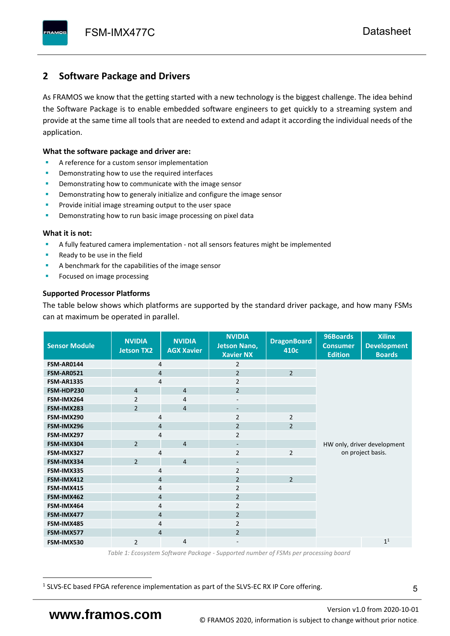## <span id="page-6-0"></span>**2 Software Package and Drivers**

As FRAMOS we know that the getting started with a new technology is the biggest challenge. The idea behind the Software Package is to enable embedded software engineers to get quickly to a streaming system and provide at the same time all tools that are needed to extend and adapt it according the individual needs of the application.

#### **What the software package and driver are:**

- A reference for a custom sensor implementation
- Demonstrating how to use the required interfaces
- Demonstrating how to communicate with the image sensor
- Demonstrating how to generaly initialize and configure the image sensor
- Provide initial image streaming output to the user space
- Demonstrating how to run basic image processing on pixel data

#### **What it is not:**

- A fully featured camera implementation not all sensors features might be implemented
- Ready to be use in the field
- A benchmark for the capabilities of the image sensor
- Focused on image processing

#### **Supported Processor Platforms**

The table below shows which platforms are supported by the standard driver package, and how many FSMs can at maximum be operated in parallel.

| <b>Sensor Module</b> | <b>NVIDIA</b><br>Jetson TX2 | <b>NVIDIA</b><br><b>AGX Xavier</b> | <b>NVIDIA</b><br><b>Jetson Nano,</b><br><b>Xavier NX</b> | <b>DragonBoard</b><br>410c | 96Boards<br><b>Consumer</b><br><b>Edition</b> | <b>Xilinx</b><br><b>Development</b><br><b>Boards</b> |  |  |  |
|----------------------|-----------------------------|------------------------------------|----------------------------------------------------------|----------------------------|-----------------------------------------------|------------------------------------------------------|--|--|--|
| FSM-AR0144           | 4                           |                                    | 2                                                        |                            |                                               |                                                      |  |  |  |
| <b>FSM-AR0521</b>    | $\overline{4}$              |                                    | $\overline{2}$                                           | $\overline{2}$             |                                               |                                                      |  |  |  |
| <b>FSM-AR1335</b>    | 4                           |                                    | $\overline{2}$                                           |                            |                                               |                                                      |  |  |  |
| FSM-HDP230           | $\overline{4}$              | $\overline{4}$                     | $\overline{2}$                                           |                            |                                               |                                                      |  |  |  |
| FSM-IMX264           | $\overline{2}$              | 4                                  | $\overline{\phantom{a}}$                                 |                            |                                               |                                                      |  |  |  |
| FSM-IMX283           | $\overline{2}$              | $\overline{4}$                     | $\overline{\phantom{a}}$                                 |                            |                                               |                                                      |  |  |  |
| FSM-IMX290           | 4                           |                                    | $\overline{2}$                                           | $\overline{2}$             |                                               |                                                      |  |  |  |
| FSM-IMX296           | $\overline{4}$              |                                    | $\overline{2}$                                           | $\overline{2}$             |                                               |                                                      |  |  |  |
| FSM-IMX297           | 4                           |                                    | $\overline{2}$                                           |                            |                                               |                                                      |  |  |  |
| FSM-IMX304           | $\overline{2}$              | $\overline{4}$                     | $\qquad \qquad \blacksquare$                             |                            | HW only, driver development                   |                                                      |  |  |  |
| FSM-IMX327           | 4                           |                                    | $\overline{2}$                                           | $\overline{2}$             | on project basis.                             |                                                      |  |  |  |
| FSM-IMX334           | $\overline{2}$              | $\overline{4}$                     | $\qquad \qquad \blacksquare$                             |                            |                                               |                                                      |  |  |  |
| FSM-IMX335           | $\overline{4}$              |                                    | 2                                                        |                            |                                               |                                                      |  |  |  |
| FSM-IMX412           | $\overline{4}$              |                                    | $\overline{2}$                                           | $\overline{2}$             |                                               |                                                      |  |  |  |
| FSM-IMX415           | $\overline{4}$              |                                    | $\overline{2}$                                           |                            |                                               |                                                      |  |  |  |
| FSM-IMX462           | $\overline{4}$              |                                    | $\overline{2}$                                           |                            |                                               |                                                      |  |  |  |
| FSM-IMX464           | $\overline{4}$              |                                    | $\overline{2}$                                           |                            |                                               |                                                      |  |  |  |
| FSM-IMX477           | $\overline{4}$              |                                    | $\overline{2}$                                           |                            |                                               |                                                      |  |  |  |
| FSM-IMX485           | 4                           |                                    | $\overline{2}$                                           |                            |                                               |                                                      |  |  |  |
| FSM-IMX577           | $\overline{4}$              |                                    | $\overline{2}$                                           |                            |                                               |                                                      |  |  |  |
| FSM-IMX530           | $\overline{2}$              | $\overline{4}$                     | $\qquad \qquad \blacksquare$                             |                            |                                               | 1 <sup>1</sup>                                       |  |  |  |

*Table 1: Ecosystem Software Package - Supported number of FSMs per processing board*

<sup>1</sup> SLVS-EC based FPGA reference implementation as part of the SLVS-EC RX IP Core offering.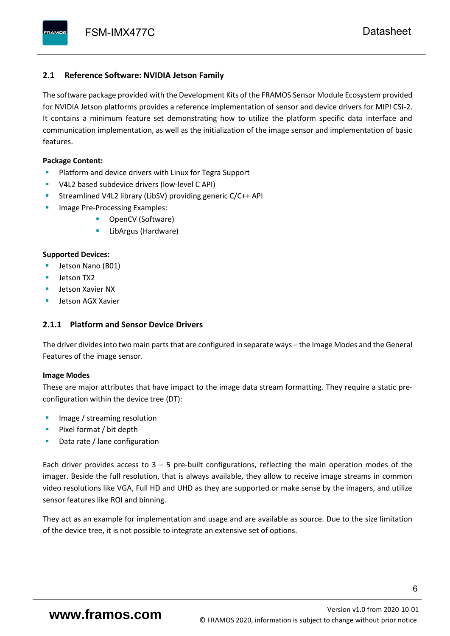### <span id="page-7-0"></span>**2.1 Reference Software: NVIDIA Jetson Family**

The software package provided with the Development Kits of the FRAMOS Sensor Module Ecosystem provided for NVIDIA Jetson platforms provides a reference implementation of sensor and device drivers for MIPI CSI-2. It contains a minimum feature set demonstrating how to utilize the platform specific data interface and communication implementation, as well as the initialization of the image sensor and implementation of basic features.

#### **Package Content:**

- Platform and device drivers with Linux for Tegra Support
- V4L2 based subdevice drivers (low-level C API)
- Streamlined V4L2 library (LibSV) providing generic C/C++ API
- Image Pre-Processing Examples:
	- OpenCV (Software)
	- LibArgus (Hardware)

#### **Supported Devices:**

- Jetson Nano (B01)
- Jetson TX2
- Jetson Xavier NX
- Jetson AGX Xavier

### <span id="page-7-1"></span>**2.1.1 Platform and Sensor Device Drivers**

The driver divides into two main parts that are configured in separate ways – the Image Modes and the General Features of the image sensor.

#### **Image Modes**

These are major attributes that have impact to the image data stream formatting. They require a static preconfiguration within the device tree (DT):

- Image / streaming resolution
- Pixel format / bit depth
- Data rate / lane configuration

Each driver provides access to  $3 - 5$  pre-built configurations, reflecting the main operation modes of the imager. Beside the full resolution, that is always available, they allow to receive image streams in common video resolutions like VGA, Full HD and UHD as they are supported or make sense by the imagers, and utilize sensor features like ROI and binning.

They act as an example for implementation and usage and are available as source. Due to the size limitation of the device tree, it is not possible to integrate an extensive set of options.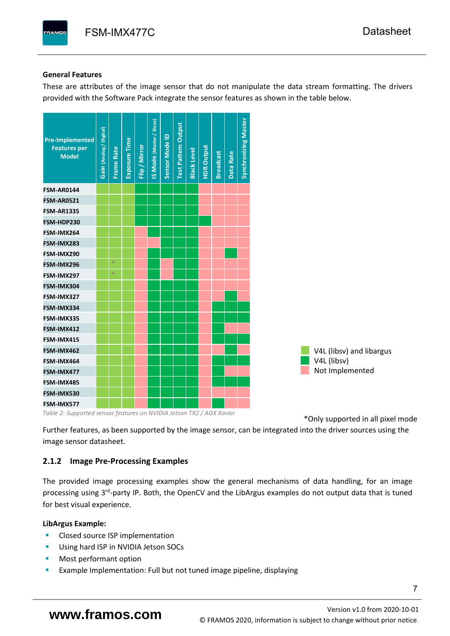### **General Features**

These are attributes of the image sensor that do not manipulate the data stream formatting. The drivers provided with the Software Pack integrate the sensor features as shown in the table below.



*Table 2: Supported sensor features on NVIDIA Jetson TX2 / AGX Xavier*

\*Only supported in all pixel mode

Further features, as been supported by the image sensor, can be integrated into the driver sources using the image sensor datasheet.

### <span id="page-8-0"></span>**2.1.2 Image Pre-Processing Examples**

The provided image processing examples show the general mechanisms of data handling, for an image processing using 3<sup>rd</sup>-party IP. Both, the OpenCV and the LibArgus examples do not output data that is tuned for best visual experience.

### **LibArgus Example:**

- Closed source ISP implementation
- Using hard ISP in NVIDIA Jetson SOCs
- Most performant option
- Example Implementation: Full but not tuned image pipeline, displaying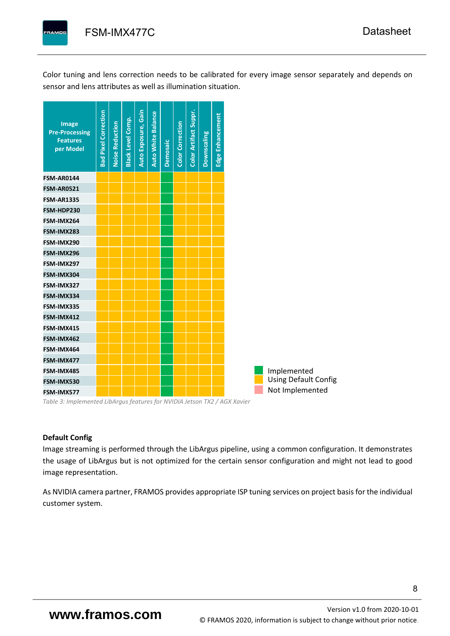Color tuning and lens correction needs to be calibrated for every image sensor separately and depends on

sensor and lens attributes as well as illumination situation.



*Table 3: Implemented LibArgus features for NVIDIA Jetson TX2 / AGX Xavier*

### **Default Config**

Image streaming is performed through the LibArgus pipeline, using a common configuration. It demonstrates the usage of LibArgus but is not optimized for the certain sensor configuration and might not lead to good image representation.

As NVIDIA camera partner, FRAMOS provides appropriate ISP tuning services on project basisfor the individual customer system.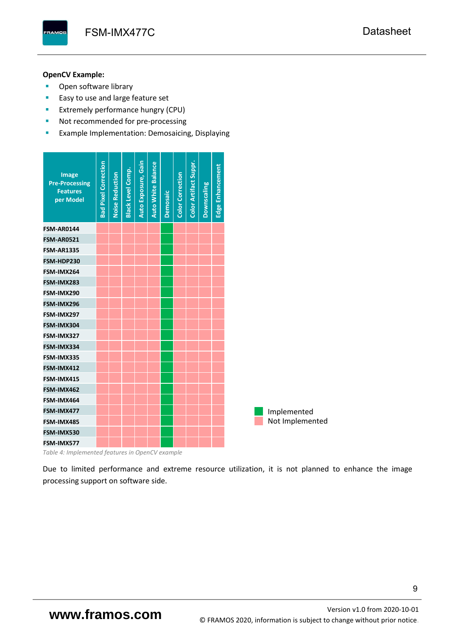FSM-IMX477C [Datasheet](#page-0-0)

## **OpenCV Example:**

**AMOS** 

- Open software library
- Easy to use and large feature set
- **Extremely performance hungry (CPU)**
- Not recommended for pre-processing
- **EXample Implementation: Demosaicing, Displaying**

| Image<br><b>Pre-Processing</b><br><b>Features</b><br>per Model | <b>Bad Pixel Correction</b> | <b>Noise Reduction</b> | <b>Black Level Comp.</b> | Auto Exposure, Gain | <b>Auto White Balance</b> | <b>Demosaic</b> | <b>Color Correction</b> | Color Artifact Suppr. | Downscaling | Edge Enhancement |  |                 |
|----------------------------------------------------------------|-----------------------------|------------------------|--------------------------|---------------------|---------------------------|-----------------|-------------------------|-----------------------|-------------|------------------|--|-----------------|
| <b>FSM-AR0144</b>                                              |                             |                        |                          |                     |                           |                 |                         |                       |             |                  |  |                 |
| <b>FSM-AR0521</b>                                              |                             |                        |                          |                     |                           |                 |                         |                       |             |                  |  |                 |
| <b>FSM-AR1335</b>                                              |                             |                        |                          |                     |                           |                 |                         |                       |             |                  |  |                 |
| FSM-HDP230                                                     |                             |                        |                          |                     |                           |                 |                         |                       |             |                  |  |                 |
| FSM-IMX264                                                     |                             |                        |                          |                     |                           |                 |                         |                       |             |                  |  |                 |
| FSM-IMX283                                                     |                             |                        |                          |                     |                           |                 |                         |                       |             |                  |  |                 |
| FSM-IMX290                                                     |                             |                        |                          |                     |                           |                 |                         |                       |             |                  |  |                 |
| FSM-IMX296                                                     |                             |                        |                          |                     |                           |                 |                         |                       |             |                  |  |                 |
| FSM-IMX297                                                     |                             |                        |                          |                     |                           |                 |                         |                       |             |                  |  |                 |
| FSM-IMX304                                                     |                             |                        |                          |                     |                           |                 |                         |                       |             |                  |  |                 |
| FSM-IMX327                                                     |                             |                        |                          |                     |                           |                 |                         |                       |             |                  |  |                 |
| FSM-IMX334                                                     |                             |                        |                          |                     |                           |                 |                         |                       |             |                  |  |                 |
| FSM-IMX335                                                     |                             |                        |                          |                     |                           |                 |                         |                       |             |                  |  |                 |
| FSM-IMX412                                                     |                             |                        |                          |                     |                           |                 |                         |                       |             |                  |  |                 |
| FSM-IMX415                                                     |                             |                        |                          |                     |                           |                 |                         |                       |             |                  |  |                 |
| FSM-IMX462                                                     |                             |                        |                          |                     |                           |                 |                         |                       |             |                  |  |                 |
| FSM-IMX464                                                     |                             |                        |                          |                     |                           |                 |                         |                       |             |                  |  |                 |
| FSM-IMX477                                                     |                             |                        |                          |                     |                           |                 |                         |                       |             |                  |  | Implemented     |
| FSM-IMX485                                                     |                             |                        |                          |                     |                           |                 |                         |                       |             |                  |  | Not Implemented |
| FSM-IMX530                                                     |                             |                        |                          |                     |                           |                 |                         |                       |             |                  |  |                 |
| FSM-IMX577                                                     |                             |                        |                          |                     |                           |                 |                         |                       |             |                  |  |                 |

*Table 4: Implemented features in OpenCV example*

Due to limited performance and extreme resource utilization, it is not planned to enhance the image processing support on software side.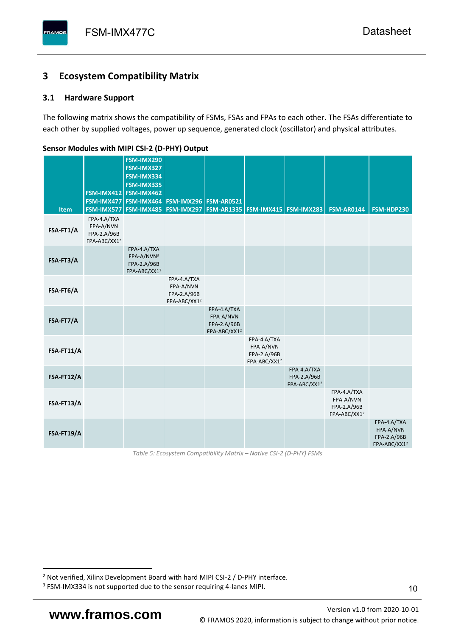# <span id="page-11-0"></span>**3 Ecosystem Compatibility Matrix**

## <span id="page-11-1"></span>**3.1 Hardware Support**

The following matrix shows the compatibility of FSMs, FSAs and FPAs to each other. The FSAs differentiate to each other by supplied voltages, power up sequence, generated clock (oscillator) and physical attributes.

<span id="page-11-2"></span>

| Item       | FSM-IMX477<br><b>FSM-IMX577</b>                                     | <b>FSM-IMX290</b><br>FSM-IMX327<br>FSM-IMX334<br><b>FSM-IMX335</b><br>FSM-IMX412 FSM-IMX462<br>FSM-IMX464<br><b>FSM-IMX485</b> | <b>FSM-IMX296</b><br><b>FSM-IMX297</b>                              | <b>FSM-AR0521</b>                                                   | FSM-AR1335   FSM-IMX415   FSM-IMX283                                |                                                        | <b>FSM-AR0144</b>                                                   | FSM-HDP230                                                          |
|------------|---------------------------------------------------------------------|--------------------------------------------------------------------------------------------------------------------------------|---------------------------------------------------------------------|---------------------------------------------------------------------|---------------------------------------------------------------------|--------------------------------------------------------|---------------------------------------------------------------------|---------------------------------------------------------------------|
| FSA-FT1/A  | FPA-4.A/TXA<br>FPA-A/NVN<br>FPA-2.A/96B<br>FPA-ABC/XX1 <sup>2</sup> |                                                                                                                                |                                                                     |                                                                     |                                                                     |                                                        |                                                                     |                                                                     |
| FSA-FT3/A  |                                                                     | FPA-4.A/TXA<br>FPA-A/NVN3<br>FPA-2.A/96B<br>FPA-ABC/XX1 <sup>2</sup>                                                           |                                                                     |                                                                     |                                                                     |                                                        |                                                                     |                                                                     |
| FSA-FT6/A  |                                                                     |                                                                                                                                | FPA-4.A/TXA<br>FPA-A/NVN<br>FPA-2.A/96B<br>FPA-ABC/XX1 <sup>2</sup> |                                                                     |                                                                     |                                                        |                                                                     |                                                                     |
| FSA-FT7/A  |                                                                     |                                                                                                                                |                                                                     | FPA-4.A/TXA<br>FPA-A/NVN<br>FPA-2.A/96B<br>FPA-ABC/XX1 <sup>2</sup> |                                                                     |                                                        |                                                                     |                                                                     |
| FSA-FT11/A |                                                                     |                                                                                                                                |                                                                     |                                                                     | FPA-4.A/TXA<br>FPA-A/NVN<br>FPA-2.A/96B<br>FPA-ABC/XX1 <sup>2</sup> |                                                        |                                                                     |                                                                     |
| FSA-FT12/A |                                                                     |                                                                                                                                |                                                                     |                                                                     |                                                                     | FPA-4.A/TXA<br>FPA-2.A/96B<br>FPA-ABC/XX1 <sup>2</sup> |                                                                     |                                                                     |
| FSA-FT13/A |                                                                     |                                                                                                                                |                                                                     |                                                                     |                                                                     |                                                        | FPA-4.A/TXA<br>FPA-A/NVN<br>FPA-2.A/96B<br>FPA-ABC/XX1 <sup>2</sup> |                                                                     |
| FSA-FT19/A |                                                                     |                                                                                                                                |                                                                     |                                                                     |                                                                     |                                                        |                                                                     | FPA-4.A/TXA<br>FPA-A/NVN<br>FPA-2.A/96B<br>FPA-ABC/XX1 <sup>2</sup> |

**Sensor Modules with MIPI CSI-2 (D-PHY) Output**

*Table 5: Ecosystem Compatibility Matrix – Native CSI-2 (D-PHY) FSMs*

<sup>2</sup> Not verified, Xilinx Development Board with hard MIPI CSI-2 / D-PHY interface.

<sup>&</sup>lt;sup>3</sup> FSM-IMX334 is not supported due to the sensor requiring 4-lanes MIPI.